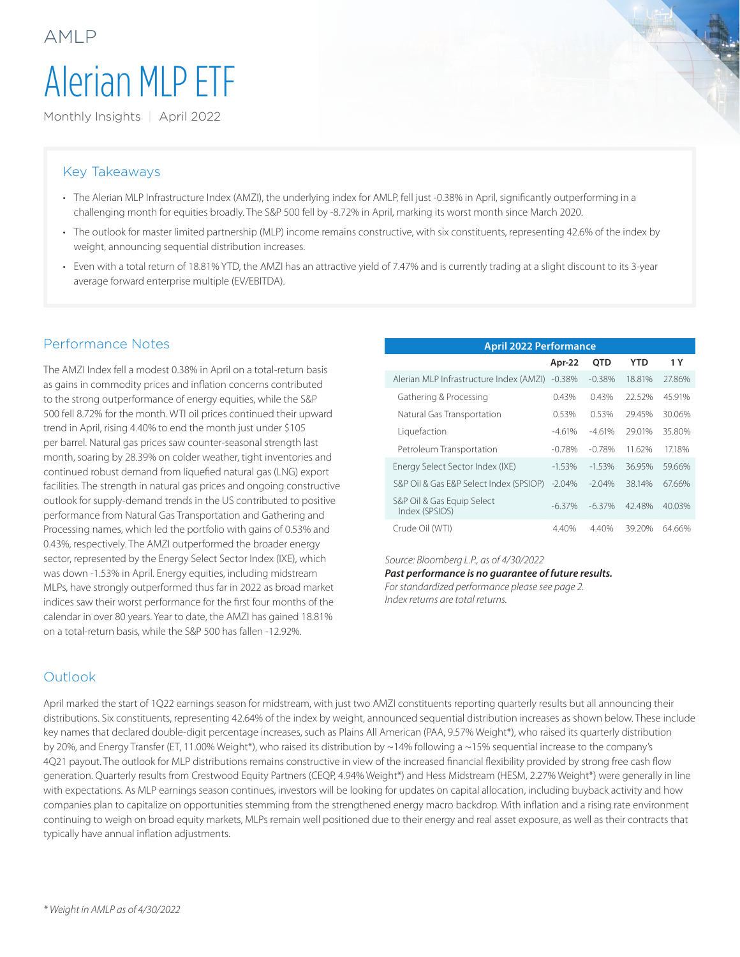# Alerian MLP ETF

Monthly Insights | April 2022

#### Key Takeaways

AMLP

- The Alerian MLP Infrastructure Index (AMZI), the underlying index for AMLP, fell just -0.38% in April, significantly outperforming in a challenging month for equities broadly. The S&P 500 fell by -8.72% in April, marking its worst month since March 2020.
- The outlook for master limited partnership (MLP) income remains constructive, with six constituents, representing 42.6% of the index by weight, announcing sequential distribution increases.
- Even with a total return of 18.81% YTD, the AMZI has an attractive yield of 7.47% and is currently trading at a slight discount to its 3-year average forward enterprise multiple (EV/EBITDA).

#### Performance Notes

The AMZI Index fell a modest 0.38% in April on a total-return basis as gains in commodity prices and inflation concerns contributed to the strong outperformance of energy equities, while the S&P 500 fell 8.72% for the month. WTI oil prices continued their upward trend in April, rising 4.40% to end the month just under \$105 per barrel. Natural gas prices saw counter-seasonal strength last month, soaring by 28.39% on colder weather, tight inventories and continued robust demand from liquefied natural gas (LNG) export facilities. The strength in natural gas prices and ongoing constructive outlook for supply-demand trends in the US contributed to positive performance from Natural Gas Transportation and Gathering and Processing names, which led the portfolio with gains of 0.53% and 0.43%, respectively. The AMZI outperformed the broader energy sector, represented by the Energy Select Sector Index (IXE), which was down -1.53% in April. Energy equities, including midstream MLPs, have strongly outperformed thus far in 2022 as broad market indices saw their worst performance for the first four months of the calendar in over 80 years. Year to date, the AMZI has gained 18.81% on a total-return basis, while the S&P 500 has fallen -12.92%.

| <b>April 2022 Performance</b>                |           |          |            |        |  |  |  |
|----------------------------------------------|-----------|----------|------------|--------|--|--|--|
|                                              | Apr-22    | OTD      | <b>YTD</b> | 1 Y    |  |  |  |
| Alerian MLP Infrastructure Index (AMZI)      | $-0.38%$  | $-0.38%$ | 18.81%     | 27.86% |  |  |  |
| Gathering & Processing                       | 0.43%     | 0.43%    | 22.52%     | 45.91% |  |  |  |
| Natural Gas Transportation                   | 0.53%     | 0.53%    | 29.45%     | 30.06% |  |  |  |
| Liquefaction                                 | $-4.61%$  | $-4.61%$ | 29.01%     | 35.80% |  |  |  |
| Petroleum Transportation                     | $-0.78\%$ | $-0.78%$ | 11.62%     | 17.18% |  |  |  |
| Energy Select Sector Index (IXE)             | $-1.53%$  | $-1.53%$ | 36.95%     | 59.66% |  |  |  |
| S&P Oil & Gas E&P Select Index (SPSIOP)      | $-2.04%$  | $-2.04%$ | 38.14%     | 67.66% |  |  |  |
| S&P Oil & Gas Equip Select<br>Index (SPSIOS) | $-6.37\%$ | $-6.37%$ | 42.48%     | 40.03% |  |  |  |
| Crude Oil (WTI)                              | 4.40%     | 4.40%    | 39.20%     | 64.66% |  |  |  |

*Source: Bloomberg L.P., as of 4/30/2022*

*Past performance is no guarantee of future results. For standardized performance please see page 2. Index returns are total returns.*

#### Outlook

April marked the start of 1Q22 earnings season for midstream, with just two AMZI constituents reporting quarterly results but all announcing their distributions. Six constituents, representing 42.64% of the index by weight, announced sequential distribution increases as shown below. These include key names that declared double-digit percentage increases, such as Plains All American (PAA, 9.57% Weight\*), who raised its quarterly distribution by 20%, and Energy Transfer (ET, 11.00% Weight\*), who raised its distribution by ~14% following a ~15% sequential increase to the company's 4Q21 payout. The outlook for MLP distributions remains constructive in view of the increased financial flexibility provided by strong free cash flow generation. Quarterly results from Crestwood Equity Partners (CEQP, 4.94% Weight\*) and Hess Midstream (HESM, 2.27% Weight\*) were generally in line with expectations. As MLP earnings season continues, investors will be looking for updates on capital allocation, including buyback activity and how companies plan to capitalize on opportunities stemming from the strengthened energy macro backdrop. With inflation and a rising rate environment continuing to weigh on broad equity markets, MLPs remain well positioned due to their energy and real asset exposure, as well as their contracts that typically have annual inflation adjustments.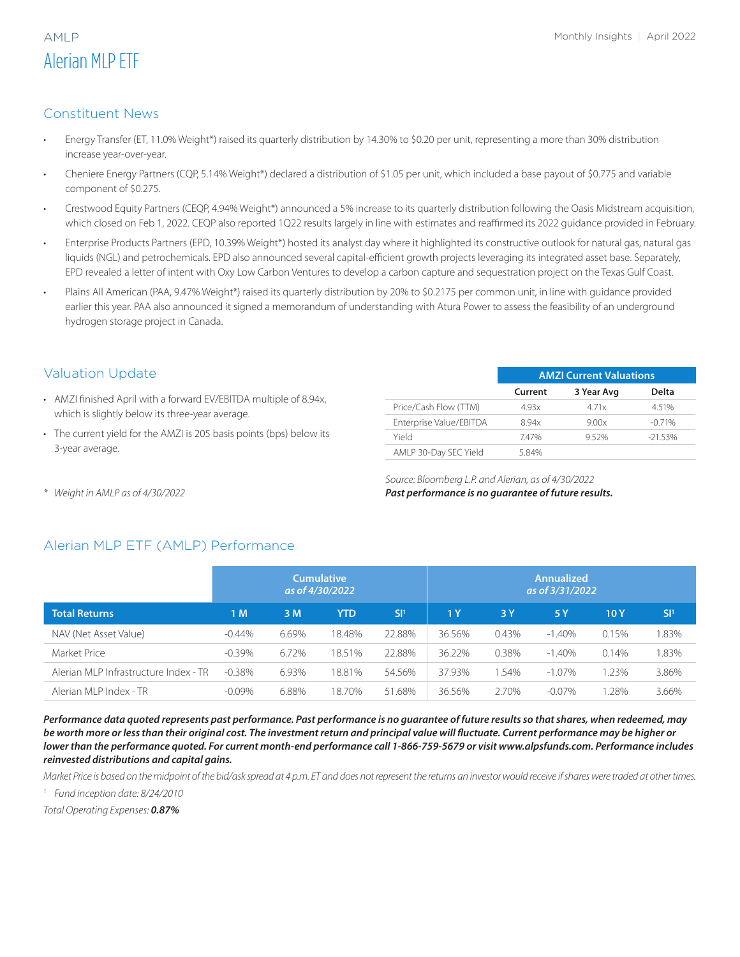# Alerian MLP ETF

# Constituent News

- Energy Transfer (ET, 11.0% Weight\*) raised its quarterly distribution by 14.30% to \$0.20 per unit, representing a more than 30% distribution increase year-over-year.
- Cheniere Energy Partners (CQP, 5.14% Weight\*) declared a distribution of \$1.05 per unit, which included a base payout of \$0.775 and variable component of \$0.275.
- Crestwood Equity Partners (CEQP, 4.94% Weight\*) announced a 5% increase to its quarterly distribution following the Oasis Midstream acquisition, which closed on Feb 1, 2022. CEQP also reported 1Q22 results largely in line with estimates and reaffirmed its 2022 guidance provided in February.
- Enterprise Products Partners (EPD, 10.39% Weight\*) hosted its analyst day where it highlighted its constructive outlook for natural gas, natural gas liquids (NGL) and petrochemicals. EPD also announced several capital-efficient growth projects leveraging its integrated asset base. Separately, EPD revealed a letter of intent with Oxy Low Carbon Ventures to develop a carbon capture and sequestration project on the Texas Gulf Coast.
- Plains All American (PAA, 9.47% Weight\*) raised its quarterly distribution by 20% to \$0.2175 per common unit, in line with guidance provided earlier this year. PAA also announced it signed a memorandum of understanding with Atura Power to assess the feasibility of an underground hydrogen storage project in Canada.

# Valuation Update

- AMZI finished April with a forward EV/EBITDA multiple of 8.94x, which is slightly below its three-year average.
- The current yield for the AMZI is 205 basis points (bps) below its 3-year average.

|                         | <b>AMZI Current Valuations</b> |            |           |  |  |  |
|-------------------------|--------------------------------|------------|-----------|--|--|--|
|                         | Current                        | 3 Year Avg | Delta     |  |  |  |
| Price/Cash Flow (TTM)   | 4.93x                          | 471x       | 4.51%     |  |  |  |
| Enterprise Value/EBITDA | 894x                           | 9.00x      | $-0.71%$  |  |  |  |
| hleiY                   | 747%                           | 952%       | $-21.53%$ |  |  |  |
| AMLP 30-Day SEC Yield   | 584%                           |            |           |  |  |  |

*Source: Bloomberg L.P. and Alerian, as of 4/30/2022 Past performance is no guarantee of future results.*

*\* Weight in AMLP as of 4/30/2022*

# Alerian MLP ETF (AMLP) Performance

|                                       | <b>Cumulative</b><br>as of 4/30/2022 |       |            | <b>Annualized</b><br>as of 3/31/2022 |                |          |           |       |                 |
|---------------------------------------|--------------------------------------|-------|------------|--------------------------------------|----------------|----------|-----------|-------|-----------------|
| <b>Total Returns</b>                  | 1 M                                  | 3 M   | <b>YTD</b> | SI <sup>1</sup>                      | 1 <sub>Y</sub> | 3 Y      | 5 Y       | 10 Y  | SI <sup>1</sup> |
| NAV (Net Asset Value)                 | $-0.44\%$                            | 6.69% | 18.48%     | 22.88%                               | 36.56%         | $0.43\%$ | $-1.40\%$ | 0.15% | .83%            |
| Market Price                          | $-0.39%$                             | 6.72% | 18.51%     | 22.88%                               | 36.22%         | 0.38%    | $-1.40\%$ | 0.14% | .83%            |
| Alerian MLP Infrastructure Index - TR | $-0.38\%$                            | 6.93% | 18.81%     | 54.56%                               | 37.93%         | 1.54%    | $-1.07\%$ | 1.23% | 3.86%           |
| Alerian MLP Index - TR                | $-0.09%$                             | 6.88% | 18.70%     | 51.68%                               | 36.56%         | 2.70%    | $-0.07\%$ | .28%  | 3.66%           |

*Performance data quoted represents past performance. Past performance is no guarantee of future results so that shares, when redeemed, may be worth more or less than their original cost. The investment return and principal value will fluctuate. Current performance may be higher or lower than the performance quoted. For current month-end performance call 1-866-759-5679 or visit www.alpsfunds.com. Performance includes reinvested distributions and capital gains.* 

*Market Price is based on the midpoint of the bid/ask spread at 4 p.m. ET and does not represent the returns an investor would receive if shares were traded at other times.*

*<sup>1</sup> Fund inception date: 8/24/2010*

*Total Operating Expenses: 0.87%*